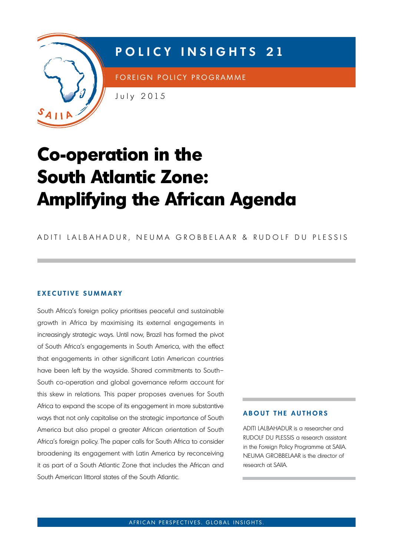

# **P o LICY INSIG h TS 21**

FOREIGN POLICY PROGRAMME

July 2015

# **Co-operation in the South Atlantic Zone: Amplifying the African Agenda**

ADITI LALBAHADUR, NEUMA GROBBELAAR & RUDOLF DU PLESSIS

# **EXECUTIVE SUMMARY**

South Africa's foreign policy prioritises peaceful and sustainable growth in Africa by maximising its external engagements in increasingly strategic ways. Until now, Brazil has formed the pivot of South Africa's engagements in South America, with the effect that engagements in other significant Latin American countries have been left by the wayside. Shared commitments to South– South co-operation and global governance reform account for this skew in relations. This paper proposes avenues for South Africa to expand the scope of its engagement in more substantive ways that not only capitalise on the strategic importance of South America but also propel a greater African orientation of South Africa's foreign policy. The paper calls for South Africa to consider broadening its engagement with Latin America by reconceiving it as part of a South Atlantic Zone that includes the African and South American littoral states of the South Atlantic.

### **ABOUT THE AUTHORS**

ADITI LALBAHADUR is a researcher and RUDOLF DU PLESSIS a research assistant in the foreign Policy Programme at SAiiA. NeUmA GroBBeLAAr is the director of research at SAiiA.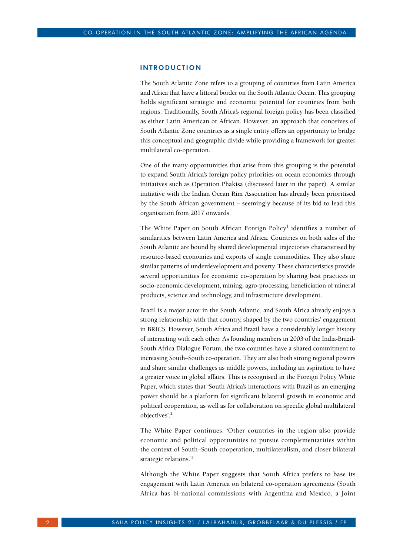#### **INTR o DUCTI o N**

The South Atlantic Zone refers to a grouping of countries from Latin America and Africa that have a littoral border on the South Atlantic Ocean. This grouping holds significant strategic and economic potential for countries from both regions. Traditionally, South Africa's regional foreign policy has been classified as either Latin American or African. However, an approach that conceives of South Atlantic Zone countries as a single entity offers an opportunity to bridge this conceptual and geographic divide while providing a framework for greater multilateral co-operation.

One of the many opportunities that arise from this grouping is the potential to expand South Africa's foreign policy priorities on ocean economics through initiatives such as Operation Phakisa (discussed later in the paper). A similar initiative with the Indian Ocean Rim Association has already been prioritised by the South African government – seemingly because of its bid to lead this organisation from 2017 onwards.

The White Paper on South African Foreign Policy<sup>1</sup> identifies a number of similarities between Latin America and Africa. Countries on both sides of the South Atlantic are bound by shared developmental trajectories characterised by resource-based economies and exports of single commodities. They also share similar patterns of underdevelopment and poverty. These characteristics provide several opportunities for economic co-operation by sharing best practices in socio-economic development, mining, agro-processing, beneficiation of mineral products, science and technology, and infrastructure development.

Brazil is a major actor in the South Atlantic, and South Africa already enjoys a strong relationship with that country, shaped by the two countries' engagement in BRICS. However, South Africa and Brazil have a considerably longer history of interacting with each other. As founding members in 2003 of the India-Brazil-South Africa Dialogue Forum, the two countries have a shared commitment to increasing South–South co-operation. They are also both strong regional powers and share similar challenges as middle powers, including an aspiration to have a greater voice in global affairs. This is recognised in the Foreign Policy White Paper, which states that 'South Africa's interactions with Brazil as an emerging power should be a platform for significant bilateral growth in economic and political cooperation, as well as for collaboration on specific global multilateral objectives'.2

The White Paper continues: 'Other countries in the region also provide economic and political opportunities to pursue complementarities within the context of South–South cooperation, multilateralism, and closer bilateral strategic relations.'<sup>3</sup>

Although the White Paper suggests that South Africa prefers to base its engagement with Latin America on bilateral co-operation agreements (South Africa has bi-national commissions with Argentina and Mexico, a Joint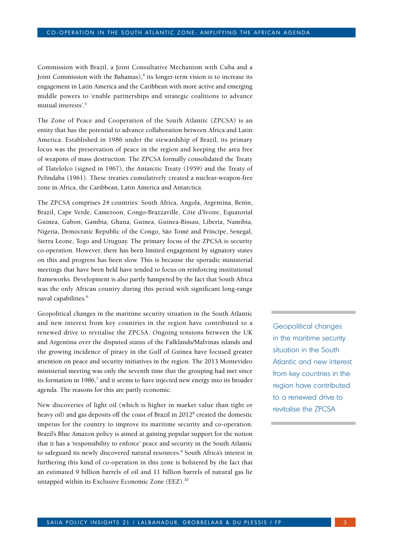Commission with Brazil, a Joint Consultative Mechanism with Cuba and a Joint Commission with the Bahamas),<sup>4</sup> its longer-term vision is to increase its engagement in Latin America and the Caribbean with more active and emerging middle powers to 'enable partnerships and strategic coalitions to advance mutual interests'.5

The Zone of Peace and Cooperation of the South Atlantic (ZPCSA) is an entity that has the potential to advance collaboration between Africa and Latin America. Established in 1986 under the stewardship of Brazil, its primary focus was the preservation of peace in the region and keeping the area free of weapons of mass destruction. The ZPCSA formally consolidated the Treaty of Tlatelolco (signed in 1967), the Antarctic Treaty (1959) and the Treaty of Pelindaba (1961). These treaties cumulatively created a nuclear-weapon-free zone in Africa, the Caribbean, Latin America and Antarctica.

The ZPCSA comprises 24 countries: South Africa, Angola, Argentina, Benin, Brazil, Cape Verde, Cameroon, Congo-Brazzaville, Côte d'Ivoire, Equatorial Guinea, Gabon, Gambia, Ghana, Guinea, Guinea-Bissau, Liberia, Namibia, Nigeria, Democratic Republic of the Congo, São Tomé and Príncipe, Senegal, Sierra Leone, Togo and Uruguay. The primary focus of the ZPCSA is security co-operation. However, there has been limited engagement by signatory states on this and progress has been slow. This is because the sporadic ministerial meetings that have been held have tended to focus on reinforcing institutional frameworks. Development is also partly hampered by the fact that South Africa was the only African country during this period with significant long-range naval capabilities.<sup>6</sup>

Geopolitical changes in the maritime security situation in the South Atlantic and new interest from key countries in the region have contributed to a renewed drive to revitalise the ZPCSA. Ongoing tensions between the UK and Argentina over the disputed status of the Falklands/Malvinas islands and the growing incidence of piracy in the Gulf of Guinea have focused greater attention on peace and security initiatives in the region. The 2013 Montevideo ministerial meeting was only the seventh time that the grouping had met since its formation in  $1986<sup>7</sup>$  and it seems to have injected new energy into its broader agenda. The reasons for this are partly economic.

New discoveries of light oil (which is higher in market value than tight or heavy oil) and gas deposits off the coast of Brazil in 2012<sup>8</sup> created the domestic impetus for the country to improve its maritime security and co-operation. Brazil's Blue Amazon policy is aimed at gaining popular support for the notion that it has a 'responsibility to enforce' peace and security in the South Atlantic to safeguard its newly discovered natural resources.<sup>9</sup> South Africa's interest in furthering this kind of co-operation in this zone is bolstered by the fact that an estimated 9 billion barrels of oil and 11 billion barrels of natural gas lie untapped within its Exclusive Economic Zone (EEZ).10

Geopolitical changes in the maritime security situation in the South Atlantic and new interest from key countries in the region have contributed to a renewed drive to revitalise the ZPCSA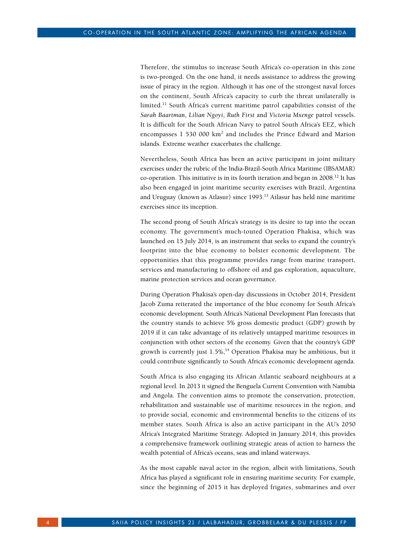Therefore, the stimulus to increase South Africa's co-operation in this zone is two-pronged. On the one hand, it needs assistance to address the growing issue of piracy in the region. Although it has one of the strongest naval forces on the continent, South Africa's capacity to curb the threat unilaterally is limited.11 South Africa's current maritime patrol capabilities consist of the *Sarah Baartman*, *Lilian Ngoyi*, *Ruth First* and *Victoria Mxenge* patrol vessels. It is difficult for the South African Navy to patrol South Africa's EEZ, which encompasses  $1\,530\,000\;\rm{km^2}$  and includes the Prince Edward and Marion islands. Extreme weather exacerbates the challenge.

Nevertheless, South Africa has been an active participant in joint military exercises under the rubric of the India-Brazil-South Africa Maritime (IBSAMAR) co-operation. This initiative is in its fourth iteration and began in  $2008$ .<sup>12</sup> It has also been engaged in joint maritime security exercises with Brazil, Argentina and Uruguay (known as Atlasur) since 1993.13 Atlasur has held nine maritime exercises since its inception.

The second prong of South Africa's strategy is its desire to tap into the ocean economy. The government's much-touted Operation Phakisa, which was launched on 15 July 2014, is an instrument that seeks to expand the country's footprint into the blue economy to bolster economic development. The opportunities that this programme provides range from marine transport, services and manufacturing to offshore oil and gas exploration, aquaculture, marine protection services and ocean governance.

During Operation Phakisa's open-day discussions in October 2014, President Jacob Zuma reiterated the importance of the blue economy for South Africa's economic development. South Africa's National Development Plan forecasts that the country stands to achieve 5% gross domestic product (GDP) growth by 2019 if it can take advantage of its relatively untapped maritime resources in conjunction with other sectors of the economy. Given that the country's GDP growth is currently just  $1.5\%,^{14}$  Operation Phakisa may be ambitious, but it could contribute significantly to South Africa's economic development agenda.

South Africa is also engaging its African Atlantic seaboard neighbours at a regional level. In 2013 it signed the Benguela Current Convention with Namibia and Angola. The convention aims to promote the conservation, protection, rehabilitation and sustainable use of maritime resources in the region, and to provide social, economic and environmental benefits to the citizens of its member states. South Africa is also an active participant in the AU's 2050 Africa's Integrated Maritime Strategy. Adopted in January 2014, this provides a comprehensive framework outlining strategic areas of action to harness the wealth potential of Africa's oceans, seas and inland waterways.

As the most capable naval actor in the region, albeit with limitations, South Africa has played a significant role in ensuring maritime security. For example, since the beginning of 2015 it has deployed frigates, submarines and over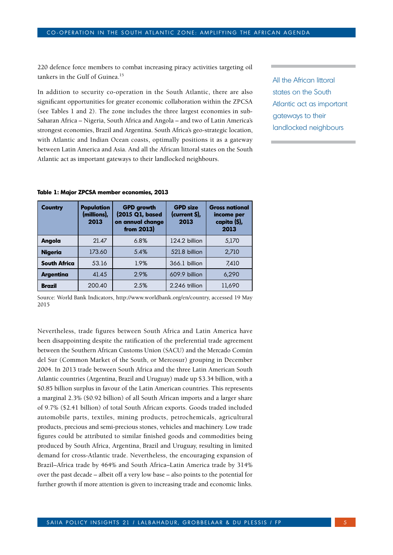220 defence force members to combat increasing piracy activities targeting oil tankers in the Gulf of Guinea.15

In addition to security co-operation in the South Atlantic, there are also significant opportunities for greater economic collaboration within the ZPCSA (see Tables 1 and 2). The zone includes the three largest economies in sub-Saharan Africa – Nigeria, South Africa and Angola – and two of Latin America's strongest economies, Brazil and Argentina. South Africa's geo-strategic location, with Atlantic and Indian Ocean coasts, optimally positions it as a gateway between Latin America and Asia. And all the African littoral states on the South Atlantic act as important gateways to their landlocked neighbours.

All the African littoral states on the South Atlantic act as important gateways to their landlocked neighbours

|  |  |  |  |  | Table 1: Major ZPCSA member economies, 2013 |  |
|--|--|--|--|--|---------------------------------------------|--|
|--|--|--|--|--|---------------------------------------------|--|

| Country             | <b>Population</b><br>(millions),<br>2013 | <b>GPD</b> growth<br>(2015 Q1, based<br>on annual change<br>from 2013) | <b>GPD size</b><br>(current \$),<br>2013 | <b>Gross national</b><br>income per<br>capita (\$),<br>2013 |
|---------------------|------------------------------------------|------------------------------------------------------------------------|------------------------------------------|-------------------------------------------------------------|
| Angola              | 21.47                                    | 6.8%                                                                   | 124.2 billion                            | 5.170                                                       |
| <b>Nigeria</b>      | 173.60                                   | 5.4%                                                                   | 521.8 billion                            | 2.710                                                       |
| <b>South Africa</b> | 53.16                                    | 1.9%                                                                   | 366.1 billion                            | 7,410                                                       |
| <b>Argentina</b>    | 41.45                                    | 2.9%                                                                   | 609.9 billion                            | 6,290                                                       |
| <b>Brazil</b>       | 200.40                                   | 2.5%                                                                   | 2.246 trillion                           | 11,690                                                      |

Source: World Bank Indicators, http://www.worldbank.org/en/country, accessed 19 May 2015

Nevertheless, trade figures between South Africa and Latin America have been disappointing despite the ratification of the preferential trade agreement between the Southern African Customs Union (SACU) and the Mercado Común del Sur (Common Market of the South, or Mercosur) grouping in December 2004. In 2013 trade between South Africa and the three Latin American South Atlantic countries (Argentina, Brazil and Uruguay) made up \$3.34 billion, with a \$0.85 billion surplus in favour of the Latin American countries. This represents a marginal 2.3% (\$0.92 billion) of all South African imports and a larger share of 9.7% (\$2.41 billion) of total South African exports. Goods traded included automobile parts, textiles, mining products, petrochemicals, agricultural products, precious and semi-precious stones, vehicles and machinery. Low trade figures could be attributed to similar finished goods and commodities being produced by South Africa, Argentina, Brazil and Uruguay, resulting in limited demand for cross-Atlantic trade. Nevertheless, the encouraging expansion of Brazil–Africa trade by 464% and South Africa–Latin America trade by 314% over the past decade – albeit off a very low base – also points to the potential for further growth if more attention is given to increasing trade and economic links.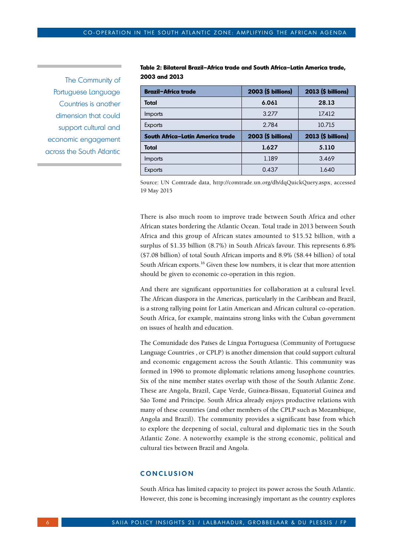The Community of Portuguese Language Countries is another dimension that could support cultural and economic engagement across the South Atlantic

|               |  | Table 2: Bilateral Brazil–Africa trade and South Africa–Latin America trade, |  |
|---------------|--|------------------------------------------------------------------------------|--|
| 2003 and 2013 |  |                                                                              |  |

| <b>Brazil-Africa trade</b>       | 2003 (\$ billions) | 2013 (\$ billions) |
|----------------------------------|--------------------|--------------------|
| <b>Total</b>                     | 6.061              | 28.13              |
| <i>Imports</i>                   | 3.277              | 17.412             |
| <b>Exports</b>                   | 2.784              | 10.715             |
|                                  |                    |                    |
| South Africa-Latin America trade | 2003 (\$ billions) | 2013 (\$ billions) |
| <b>Total</b>                     | 1.627              | 5.110              |
| Imports                          | 1.189              | 3.469              |

Source: UN Comtrade data, http://comtrade.un.org/db/dqQuickQuery.aspx, accessed 19 May 2015

There is also much room to improve trade between South Africa and other African states bordering the Atlantic Ocean. Total trade in 2013 between South Africa and this group of African states amounted to \$15.52 billion, with a surplus of \$1.35 billion (8.7%) in South Africa's favour. This represents 6.8% (\$7.08 billion) of total South African imports and 8.9% (\$8.44 billion) of total South African exports.<sup>16</sup> Given these low numbers, it is clear that more attention should be given to economic co-operation in this region.

And there are significant opportunities for collaboration at a cultural level. The African diaspora in the Americas, particularly in the Caribbean and Brazil, is a strong rallying point for Latin American and African cultural co-operation. South Africa, for example, maintains strong links with the Cuban government on issues of health and education.

The Comunidade dos Países de Língua Portuguesa (Community of Portuguese Language Countries , or CPLP) is another dimension that could support cultural and economic engagement across the South Atlantic. This community was formed in 1996 to promote diplomatic relations among lusophone countries. Six of the nine member states overlap with those of the South Atlantic Zone. These are Angola, Brazil, Cape Verde, Guinea-Bissau, Equatorial Guinea and São Tomé and Príncipe. South Africa already enjoys productive relations with many of these countries (and other members of the CPLP such as Mozambique, Angola and Brazil). The community provides a significant base from which to explore the deepening of social, cultural and diplomatic ties in the South Atlantic Zone. A noteworthy example is the strong economic, political and cultural ties between Brazil and Angola.

## **C o NCLUSI o N**

South Africa has limited capacity to project its power across the South Atlantic. However, this zone is becoming increasingly important as the country explores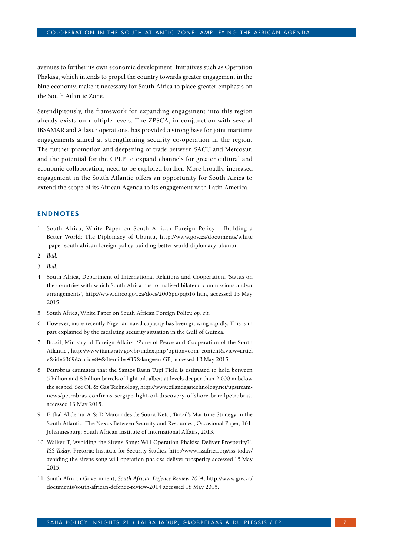avenues to further its own economic development. Initiatives such as Operation Phakisa, which intends to propel the country towards greater engagement in the blue economy, make it necessary for South Africa to place greater emphasis on the South Atlantic Zone.

Serendipitously, the framework for expanding engagement into this region already exists on multiple levels. The ZPSCA, in conjunction with several IBSAMAR and Atlasur operations, has provided a strong base for joint maritime engagements aimed at strengthening security co-operation in the region. The further promotion and deepening of trade between SACU and Mercosur, and the potential for the CPLP to expand channels for greater cultural and economic collaboration, need to be explored further. More broadly, increased engagement in the South Atlantic offers an opportunity for South Africa to extend the scope of its African Agenda to its engagement with Latin America.

# **ENDN o TES**

- 1 South Africa, White Paper on South African Foreign Policy Building a Better World: The Diplomacy of Ubuntu, http://www.gov.za/documents/white -paper-south-african-foreign-policy-building-better-world-diplomacy-ubuntu.
- 2 *Ibid*.
- 3 *Ibid*.
- 4 South Africa, Department of International Relations and Cooperation, 'Status on the countries with which South Africa has formalised bilateral commissions and/or arrangements', http://www.dirco.gov.za/docs/2006pq/pq616.htm, accessed 13 May 2015.
- 5 South Africa, White Paper on South African Foreign Policy, *op. cit.*
- 6 However, more recently Nigerian naval capacity has been growing rapidly. This is in part explained by the escalating security situation in the Gulf of Guinea.
- 7 Brazil, Ministry of Foreign Affairs, 'Zone of Peace and Cooperation of the South Atlantic', http://www.itamaraty.gov.br/index.php?option=com\_content&view=articl e&id=6369&catid=84&Itemid= 435&lang=en-GB, accessed 13 May 2015.
- 8 Petrobras estimates that the Santos Basin Tupi Field is estimated to hold between 5 billion and 8 billion barrels of light oil, albeit at levels deeper than 2 000 m below the seabed. See Oil & Gas Technology, http://www.oilandgastechnology.net/upstreamnews/petrobras-confirms-sergipe-light-oil-discovery-offshore-brazilpetrobras, accessed 13 May 2015.
- 9 Erthal Abdenur A & D Marcondes de Souza Neto, 'Brazil's Maritime Strategy in the South Atlantic: The Nexus Between Security and Resources', Occasional Paper, 161. Johannesburg: South African Institute of International Affairs, 2013.
- 10 Walker T, 'Avoiding the Siren's Song: Will Operation Phakisa Deliver Prosperity?', *ISS Today*. Pretoria: Institute for Security Studies, http://www.issafrica.org/iss-today/ avoiding-the-sirens-song-will-operation-phakisa-deliver-prosperity, accessed 15 May 2015.
- 11 South African Government, *South African Defence Review 2014*, http://www.gov.za/ documents/south-african-defence-review-2014 accessed 18 May 2015.